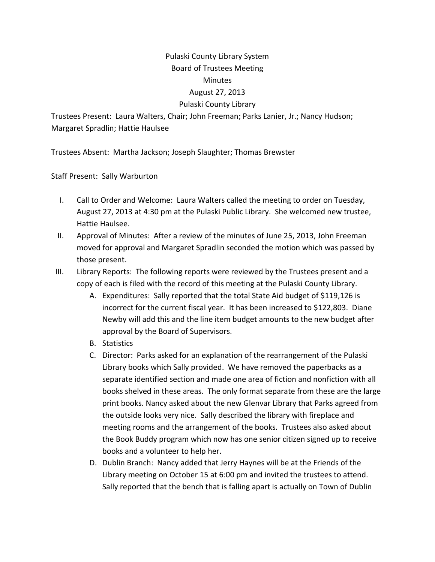## Pulaski County Library System Board of Trustees Meeting Minutes August 27, 2013 Pulaski County Library

Trustees Present: Laura Walters, Chair; John Freeman; Parks Lanier, Jr.; Nancy Hudson; Margaret Spradlin; Hattie Haulsee

Trustees Absent: Martha Jackson; Joseph Slaughter; Thomas Brewster

Staff Present: Sally Warburton

- I. Call to Order and Welcome: Laura Walters called the meeting to order on Tuesday, August 27, 2013 at 4:30 pm at the Pulaski Public Library. She welcomed new trustee, Hattie Haulsee.
- II. Approval of Minutes: After a review of the minutes of June 25, 2013, John Freeman moved for approval and Margaret Spradlin seconded the motion which was passed by those present.
- III. Library Reports: The following reports were reviewed by the Trustees present and a copy of each is filed with the record of this meeting at the Pulaski County Library.
	- A. Expenditures: Sally reported that the total State Aid budget of \$119,126 is incorrect for the current fiscal year. It has been increased to \$122,803. Diane Newby will add this and the line item budget amounts to the new budget after approval by the Board of Supervisors.
	- B. Statistics
	- C. Director: Parks asked for an explanation of the rearrangement of the Pulaski Library books which Sally provided. We have removed the paperbacks as a separate identified section and made one area of fiction and nonfiction with all books shelved in these areas. The only format separate from these are the large print books. Nancy asked about the new Glenvar Library that Parks agreed from the outside looks very nice. Sally described the library with fireplace and meeting rooms and the arrangement of the books. Trustees also asked about the Book Buddy program which now has one senior citizen signed up to receive books and a volunteer to help her.
	- D. Dublin Branch: Nancy added that Jerry Haynes will be at the Friends of the Library meeting on October 15 at 6:00 pm and invited the trustees to attend. Sally reported that the bench that is falling apart is actually on Town of Dublin